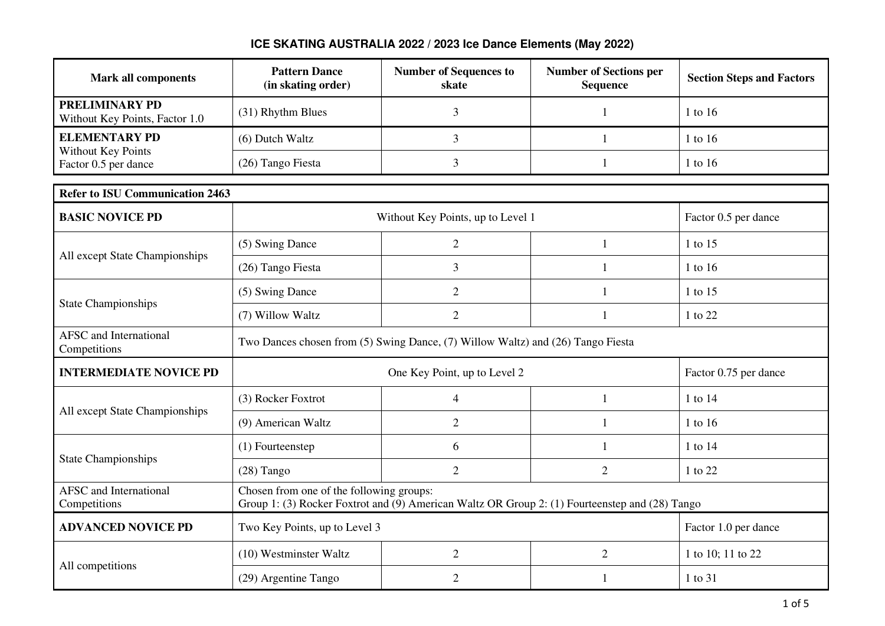| <b>Mark all components</b>                              | <b>Pattern Dance</b><br>(in skating order)                                                                                                 | <b>Number of Sequences to</b><br>skate | <b>Number of Sections per</b><br><b>Sequence</b> | <b>Section Steps and Factors</b> |
|---------------------------------------------------------|--------------------------------------------------------------------------------------------------------------------------------------------|----------------------------------------|--------------------------------------------------|----------------------------------|
| <b>PRELIMINARY PD</b><br>Without Key Points, Factor 1.0 | (31) Rhythm Blues                                                                                                                          | 3                                      | 1                                                | 1 to 16                          |
| <b>ELEMENTARY PD</b>                                    | (6) Dutch Waltz                                                                                                                            | $\overline{3}$                         | 1                                                | 1 to 16                          |
| Without Key Points<br>Factor 0.5 per dance              | (26) Tango Fiesta                                                                                                                          | 3                                      | $\mathbf{1}$                                     | 1 to 16                          |
| <b>Refer to ISU Communication 2463</b>                  |                                                                                                                                            |                                        |                                                  |                                  |
| <b>BASIC NOVICE PD</b>                                  |                                                                                                                                            | Without Key Points, up to Level 1      |                                                  | Factor 0.5 per dance             |
|                                                         | (5) Swing Dance                                                                                                                            | $\overline{2}$                         | 1                                                | 1 to 15                          |
| All except State Championships                          | (26) Tango Fiesta                                                                                                                          | 3                                      | 1                                                | 1 to 16                          |
|                                                         | (5) Swing Dance                                                                                                                            | $\overline{2}$                         | 1                                                | 1 to 15                          |
| <b>State Championships</b>                              | (7) Willow Waltz                                                                                                                           | $\mathbf{2}$                           | $\mathbf{1}$                                     | 1 to 22                          |
| <b>AFSC</b> and International<br>Competitions           | Two Dances chosen from (5) Swing Dance, (7) Willow Waltz) and (26) Tango Fiesta                                                            |                                        |                                                  |                                  |
| <b>INTERMEDIATE NOVICE PD</b>                           | One Key Point, up to Level 2<br>Factor 0.75 per dance                                                                                      |                                        |                                                  |                                  |
| All except State Championships                          | (3) Rocker Foxtrot                                                                                                                         | $\overline{4}$                         | $\mathbf{1}$                                     | 1 to 14                          |
|                                                         | (9) American Waltz                                                                                                                         | $\overline{2}$                         | 1                                                | 1 to 16                          |
|                                                         | (1) Fourteenstep                                                                                                                           | 6                                      | 1                                                | 1 to 14                          |
| <b>State Championships</b>                              | $(28)$ Tango                                                                                                                               | $\overline{2}$                         | $\overline{2}$                                   | 1 to 22                          |
| <b>AFSC</b> and International<br>Competitions           | Chosen from one of the following groups:<br>Group 1: (3) Rocker Foxtrot and (9) American Waltz OR Group 2: (1) Fourteenstep and (28) Tango |                                        |                                                  |                                  |
| <b>ADVANCED NOVICE PD</b>                               | Two Key Points, up to Level 3<br>Factor 1.0 per dance                                                                                      |                                        |                                                  |                                  |
| All competitions                                        | (10) Westminster Waltz                                                                                                                     | $\overline{2}$                         | $\overline{2}$                                   | 1 to 10; 11 to 22                |
|                                                         | (29) Argentine Tango                                                                                                                       | $\overline{2}$                         | 1                                                | 1 to 31                          |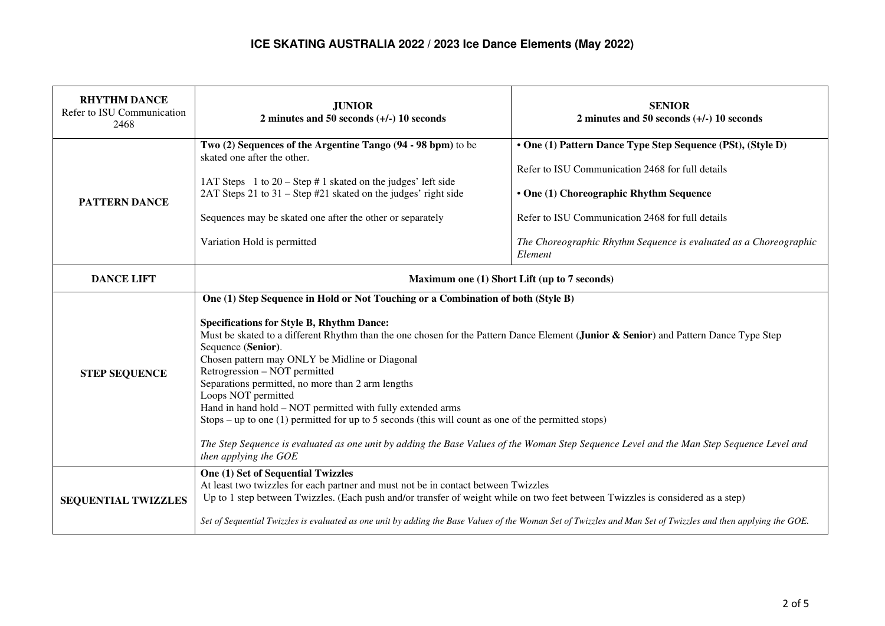| <b>RHYTHM DANCE</b><br>Refer to ISU Communication<br>2468 | <b>JUNIOR</b><br>2 minutes and 50 seconds $(+/-)$ 10 seconds                                                                                                                                                                                                                                                                                                                                                                                                                                                                                                                                                                                                                                                                                                                                                   | <b>SENIOR</b><br>2 minutes and 50 seconds $(+/-)$ 10 seconds                                                                                                                                                                                                                                   |  |
|-----------------------------------------------------------|----------------------------------------------------------------------------------------------------------------------------------------------------------------------------------------------------------------------------------------------------------------------------------------------------------------------------------------------------------------------------------------------------------------------------------------------------------------------------------------------------------------------------------------------------------------------------------------------------------------------------------------------------------------------------------------------------------------------------------------------------------------------------------------------------------------|------------------------------------------------------------------------------------------------------------------------------------------------------------------------------------------------------------------------------------------------------------------------------------------------|--|
| <b>PATTERN DANCE</b>                                      | Two (2) Sequences of the Argentine Tango (94 - 98 bpm) to be<br>skated one after the other.<br>1AT Steps 1 to $20 -$ Step # 1 skated on the judges' left side<br>2AT Steps 21 to 31 – Step #21 skated on the judges' right side<br>Sequences may be skated one after the other or separately<br>Variation Hold is permitted                                                                                                                                                                                                                                                                                                                                                                                                                                                                                    | • One (1) Pattern Dance Type Step Sequence (PSt), (Style D)<br>Refer to ISU Communication 2468 for full details<br>• One (1) Choreographic Rhythm Sequence<br>Refer to ISU Communication 2468 for full details<br>The Choreographic Rhythm Sequence is evaluated as a Choreographic<br>Element |  |
| <b>DANCE LIFT</b>                                         | Maximum one (1) Short Lift (up to 7 seconds)                                                                                                                                                                                                                                                                                                                                                                                                                                                                                                                                                                                                                                                                                                                                                                   |                                                                                                                                                                                                                                                                                                |  |
| <b>STEP SEQUENCE</b>                                      | One (1) Step Sequence in Hold or Not Touching or a Combination of both (Style B)<br><b>Specifications for Style B, Rhythm Dance:</b><br>Must be skated to a different Rhythm than the one chosen for the Pattern Dance Element (Junior & Senior) and Pattern Dance Type Step<br>Sequence (Senior).<br>Chosen pattern may ONLY be Midline or Diagonal<br>Retrogression - NOT permitted<br>Separations permitted, no more than 2 arm lengths<br>Loops NOT permitted<br>Hand in hand hold - NOT permitted with fully extended arms<br>Stops – up to one $(1)$ permitted for up to 5 seconds (this will count as one of the permitted stops)<br>The Step Sequence is evaluated as one unit by adding the Base Values of the Woman Step Sequence Level and the Man Step Sequence Level and<br>then applying the GOE |                                                                                                                                                                                                                                                                                                |  |
| <b>SEQUENTIAL TWIZZLES</b>                                | <b>One (1) Set of Sequential Twizzles</b><br>At least two twizzles for each partner and must not be in contact between Twizzles<br>Up to 1 step between Twizzles. (Each push and/or transfer of weight while on two feet between Twizzles is considered as a step)<br>Set of Sequential Twizzles is evaluated as one unit by adding the Base Values of the Woman Set of Twizzles and Man Set of Twizzles and then applying the GOE.                                                                                                                                                                                                                                                                                                                                                                            |                                                                                                                                                                                                                                                                                                |  |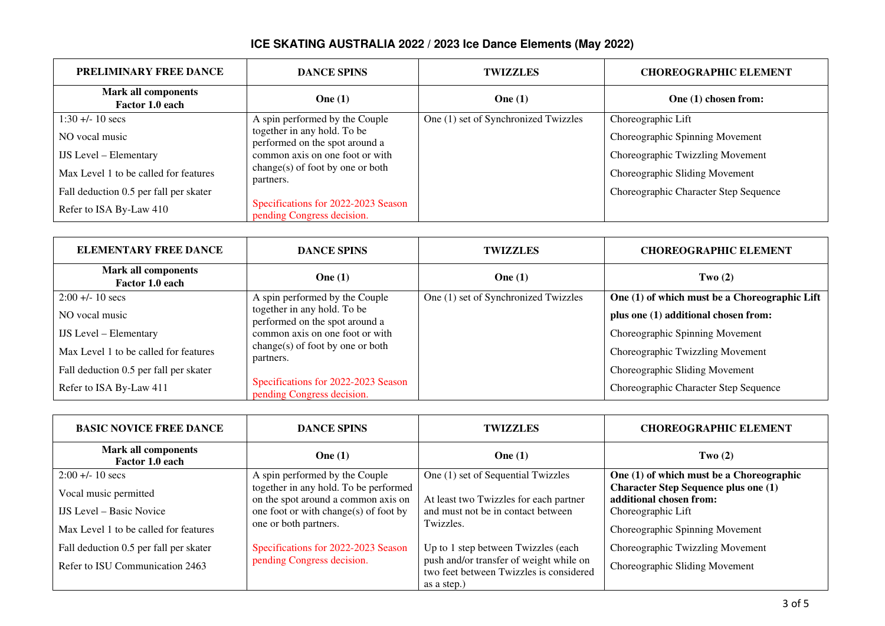| <b>PRELIMINARY FREE DANCE</b>                 | <b>DANCE SPINS</b>                                                | <b>TWIZZLES</b>                      | <b>CHOREOGRAPHIC ELEMENT</b>          |
|-----------------------------------------------|-------------------------------------------------------------------|--------------------------------------|---------------------------------------|
| <b>Mark all components</b><br>Factor 1.0 each | One $(1)$                                                         | One $(1)$                            | One (1) chosen from:                  |
| $1:30 + (-10)$ secs                           | A spin performed by the Couple                                    | One (1) set of Synchronized Twizzles | Choreographic Lift                    |
| NO vocal music                                | together in any hold. To be<br>performed on the spot around a     |                                      | Choreographic Spinning Movement       |
| <b>IJS</b> Level – Elementary                 | common axis on one foot or with                                   |                                      | Choreographic Twizzling Movement      |
| Max Level 1 to be called for features         | change(s) of foot by one or both<br>partners.                     |                                      | Choreographic Sliding Movement        |
| Fall deduction 0.5 per fall per skater        |                                                                   |                                      | Choreographic Character Step Sequence |
| Refer to ISA By-Law 410                       | Specifications for 2022-2023 Season<br>pending Congress decision. |                                      |                                       |

| <b>ELEMENTARY FREE DANCE</b>                  | <b>DANCE SPINS</b>                                                | <b>TWIZZLES</b>                      | <b>CHOREOGRAPHIC ELEMENT</b>                  |
|-----------------------------------------------|-------------------------------------------------------------------|--------------------------------------|-----------------------------------------------|
| <b>Mark all components</b><br>Factor 1.0 each | One $(1)$                                                         | One $(1)$                            | Two $(2)$                                     |
| $2:00 + 10$ secs                              | A spin performed by the Couple                                    | One (1) set of Synchronized Twizzles | One (1) of which must be a Choreographic Lift |
| NO vocal music                                | together in any hold. To be<br>performed on the spot around a     |                                      | plus one (1) additional chosen from:          |
| <b>IJS</b> Level – Elementary                 | common axis on one foot or with                                   |                                      | Choreographic Spinning Movement               |
| Max Level 1 to be called for features         | change(s) of foot by one or both<br>partners.                     |                                      | Choreographic Twizzling Movement              |
| Fall deduction 0.5 per fall per skater        |                                                                   |                                      | Choreographic Sliding Movement                |
| Refer to ISA By-Law 411                       | Specifications for 2022-2023 Season<br>pending Congress decision. |                                      | Choreographic Character Step Sequence         |

| <b>BASIC NOVICE FREE DANCE</b>                                                                    | <b>DANCE SPINS</b>                                                                                                                             | <b>TWIZZLES</b>                                                                                                                          | <b>CHOREOGRAPHIC ELEMENT</b>                                                                                                    |
|---------------------------------------------------------------------------------------------------|------------------------------------------------------------------------------------------------------------------------------------------------|------------------------------------------------------------------------------------------------------------------------------------------|---------------------------------------------------------------------------------------------------------------------------------|
| <b>Mark all components</b><br>Factor 1.0 each                                                     | One $(1)$                                                                                                                                      | One $(1)$                                                                                                                                | Two $(2)$                                                                                                                       |
| $2:00 + 10$ secs                                                                                  | A spin performed by the Couple                                                                                                                 | One (1) set of Sequential Twizzles                                                                                                       | One $(1)$ of which must be a Choreographic                                                                                      |
| Vocal music permitted<br><b>IJS</b> Level – Basic Novice<br>Max Level 1 to be called for features | together in any hold. To be performed<br>on the spot around a common axis on<br>one foot or with change(s) of foot by<br>one or both partners. | At least two Twizzles for each partner<br>and must not be in contact between<br>Twizzles.                                                | <b>Character Step Sequence plus one (1)</b><br>additional chosen from:<br>Choreographic Lift<br>Choreographic Spinning Movement |
| Fall deduction 0.5 per fall per skater<br>Refer to ISU Communication 2463                         | Specifications for 2022-2023 Season<br>pending Congress decision.                                                                              | Up to 1 step between Twizzles (each<br>push and/or transfer of weight while on<br>two feet between Twizzles is considered<br>as a step.) | Choreographic Twizzling Movement<br>Choreographic Sliding Movement                                                              |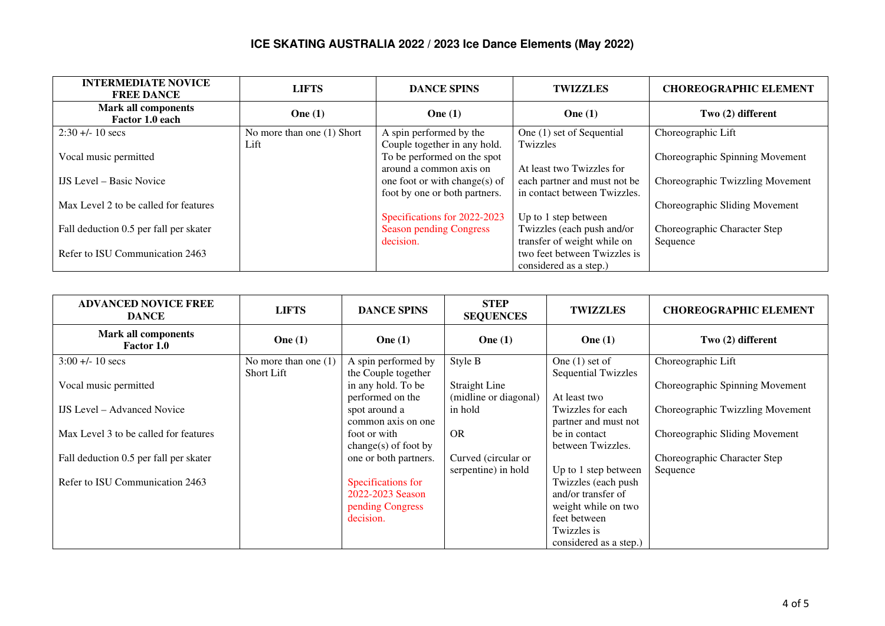| <b>INTERMEDIATE NOVICE</b><br><b>FREE DANCE</b> | <b>LIFTS</b>                       | <b>DANCE SPINS</b>                                             | <b>TWIZZLES</b>                                                                       | <b>CHOREOGRAPHIC ELEMENT</b>     |
|-------------------------------------------------|------------------------------------|----------------------------------------------------------------|---------------------------------------------------------------------------------------|----------------------------------|
| <b>Mark all components</b><br>Factor 1.0 each   | One $(1)$                          | One $(1)$                                                      | One $(1)$                                                                             | Two (2) different                |
| $2:30 + 10$ secs                                | No more than one (1) Short<br>Lift | A spin performed by the<br>Couple together in any hold.        | One (1) set of Sequential<br>Twizzles                                                 | Choreographic Lift               |
| Vocal music permitted                           |                                    | To be performed on the spot<br>around a common axis on         | At least two Twizzles for                                                             | Choreographic Spinning Movement  |
| <b>IJS</b> Level – Basic Novice                 |                                    | one foot or with change(s) of<br>foot by one or both partners. | each partner and must not be<br>in contact between Twizzles.                          | Choreographic Twizzling Movement |
| Max Level 2 to be called for features           |                                    |                                                                |                                                                                       | Choreographic Sliding Movement   |
| Fall deduction 0.5 per fall per skater          |                                    | Specifications for 2022-2023<br><b>Season pending Congress</b> | Up to 1 step between<br>Twizzles (each push and/or                                    | Choreographic Character Step     |
| Refer to ISU Communication 2463                 |                                    | decision.                                                      | transfer of weight while on<br>two feet between Twizzles is<br>considered as a step.) | Sequence                         |

| <b>ADVANCED NOVICE FREE</b><br><b>DANCE</b>     | <b>LIFTS</b>                                | <b>DANCE SPINS</b>                                                      | <b>STEP</b><br><b>SEQUENCES</b>               | <b>TWIZZLES</b>                                                                                                           | <b>CHOREOGRAPHIC ELEMENT</b>             |
|-------------------------------------------------|---------------------------------------------|-------------------------------------------------------------------------|-----------------------------------------------|---------------------------------------------------------------------------------------------------------------------------|------------------------------------------|
| <b>Mark all components</b><br><b>Factor 1.0</b> | One $(1)$                                   | One $(1)$                                                               | One $(1)$                                     | One $(1)$                                                                                                                 | Two (2) different                        |
| $3:00 + 10$ secs                                | No more than one $(1)$<br><b>Short Lift</b> | A spin performed by<br>the Couple together                              | Style B                                       | One $(1)$ set of<br><b>Sequential Twizzles</b>                                                                            | Choreographic Lift                       |
| Vocal music permitted                           |                                             | in any hold. To be<br>performed on the                                  | <b>Straight Line</b><br>(midline or diagonal) | At least two                                                                                                              | Choreographic Spinning Movement          |
| <b>IJS</b> Level – Advanced Novice              |                                             | spot around a<br>common axis on one                                     | in hold                                       | Twizzles for each<br>partner and must not                                                                                 | Choreographic Twizzling Movement         |
| Max Level 3 to be called for features           |                                             | foot or with<br>change $(s)$ of foot by                                 | <b>OR</b>                                     | be in contact<br>between Twizzles.                                                                                        | Choreographic Sliding Movement           |
| Fall deduction 0.5 per fall per skater          |                                             | one or both partners.                                                   | Curved (circular or<br>serpentine) in hold    | Up to 1 step between                                                                                                      | Choreographic Character Step<br>Sequence |
| Refer to ISU Communication 2463                 |                                             | Specifications for<br>2022-2023 Season<br>pending Congress<br>decision. |                                               | Twizzles (each push<br>and/or transfer of<br>weight while on two<br>feet between<br>Twizzles is<br>considered as a step.) |                                          |